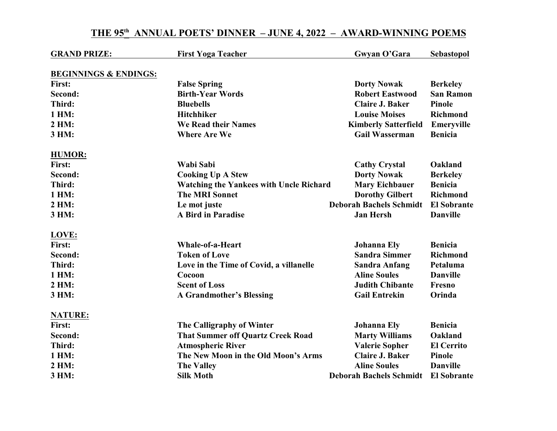| <b>GRAND PRIZE:</b>              | <b>First Yoga Teacher</b>                      | Gwyan O'Gara                   | Sebastopol         |
|----------------------------------|------------------------------------------------|--------------------------------|--------------------|
| <b>BEGINNINGS &amp; ENDINGS:</b> |                                                |                                |                    |
| First:                           | <b>False Spring</b>                            | <b>Dorty Nowak</b>             | <b>Berkeley</b>    |
| Second:                          | <b>Birth-Year Words</b>                        | <b>Robert Eastwood</b>         | <b>San Ramon</b>   |
| Third:                           | <b>Bluebells</b>                               | <b>Claire J. Baker</b>         | Pinole             |
| 1 HM:                            | <b>Hitchhiker</b>                              | <b>Louise Moises</b>           | Richmond           |
| 2 HM:                            | We Read their Names                            | <b>Kimberly Satterfield</b>    | Emeryville         |
| 3 HM:                            | <b>Where Are We</b>                            | <b>Gail Wasserman</b>          | <b>Benicia</b>     |
| <b>HUMOR:</b>                    |                                                |                                |                    |
| First:                           | Wabi Sabi                                      | <b>Cathy Crystal</b>           | Oakland            |
| Second:                          | <b>Cooking Up A Stew</b>                       | <b>Dorty Nowak</b>             | <b>Berkeley</b>    |
| Third:                           | <b>Watching the Yankees with Uncle Richard</b> | <b>Mary Eichbauer</b>          | <b>Benicia</b>     |
| 1 HM:                            | <b>The MRI Sonnet</b>                          | <b>Dorothy Gilbert</b>         | Richmond           |
| 2 HM:                            | Le mot juste                                   | <b>Deborah Bachels Schmidt</b> | <b>El Sobrante</b> |
| 3 HM:                            | <b>A Bird in Paradise</b>                      | <b>Jan Hersh</b>               | <b>Danville</b>    |
| LOVE:                            |                                                |                                |                    |
| First:                           | Whale-of-a-Heart                               | <b>Johanna Ely</b>             | <b>Benicia</b>     |
| Second:                          | <b>Token of Love</b>                           | <b>Sandra Simmer</b>           | <b>Richmond</b>    |
| Third:                           | Love in the Time of Covid, a villanelle        | <b>Sandra Anfang</b>           | Petaluma           |
| 1 HM:                            | Cocoon                                         | <b>Aline Soules</b>            | <b>Danville</b>    |
| 2 HM:                            | <b>Scent of Loss</b>                           | <b>Judith Chibante</b>         | Fresno             |
| 3 HM:                            | <b>A Grandmother's Blessing</b>                | <b>Gail Entrekin</b>           | Orinda             |
| <b>NATURE:</b>                   |                                                |                                |                    |
| First:                           | The Calligraphy of Winter                      | <b>Johanna Ely</b>             | <b>Benicia</b>     |
| Second:                          | <b>That Summer off Quartz Creek Road</b>       | <b>Marty Williams</b>          | Oakland            |
| Third:                           | <b>Atmospheric River</b>                       | <b>Valerie Sopher</b>          | <b>El Cerrito</b>  |
| 1 HM:                            | The New Moon in the Old Moon's Arms            | <b>Claire J. Baker</b>         | Pinole             |
| 2 HM:                            | <b>The Valley</b>                              | <b>Aline Soules</b>            | <b>Danville</b>    |
| 3 HM:                            | <b>Silk Moth</b>                               | <b>Deborah Bachels Schmidt</b> | <b>El Sobrante</b> |

## THE 95<sup>th</sup> ANNUAL POETS' DINNER – JUNE 4, 2022 – AWARD-WINNING POEMS